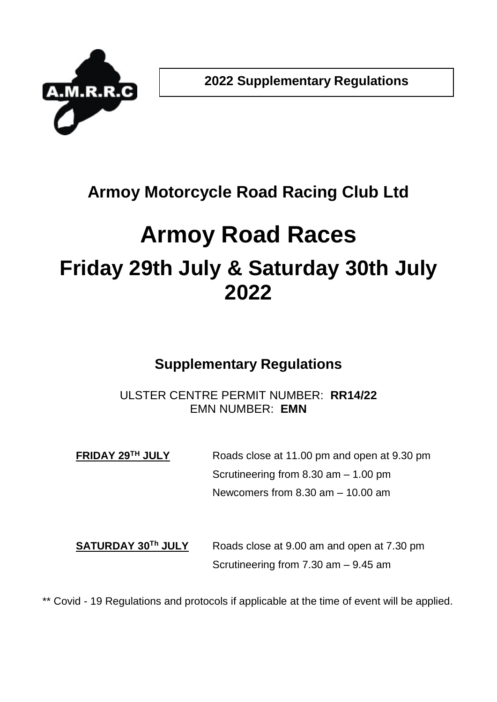

## **Armoy Motorcycle Road Racing Club Ltd**

# **Armoy Road Races Friday 29th July & Saturday 30th July 2022**

## **Supplementary Regulations**

### ULSTER CENTRE PERMIT NUMBER: **RR14/22** EMN NUMBER: **EMN**

**FRIDAY 29TH JULY** Roads close at 11.00 pm and open at 9.30 pm Scrutineering from 8.30 am – 1.00 pm Newcomers from 8.30 am – 10.00 am

**SATURDAY 30** Roads close at 9.00 am and open at 7.30 pm Scrutineering from 7.30 am – 9.45 am

\*\* Covid - 19 Regulations and protocols if applicable at the time of event will be applied.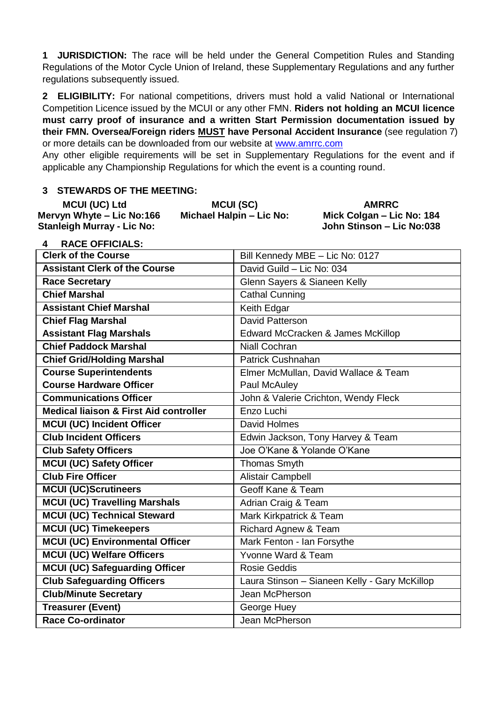**1 JURISDICTION:** The race will be held under the General Competition Rules and Standing Regulations of the Motor Cycle Union of Ireland, these Supplementary Regulations and any further regulations subsequently issued.

**2 ELIGIBILITY:** For national competitions, drivers must hold a valid National or International Competition Licence issued by the MCUI or any other FMN. **Riders not holding an MCUI licence must carry proof of insurance and a written Start Permission documentation issued by their FMN. Oversea/Foreign riders MUST have Personal Accident Insurance** (see regulation 7) or more details can be downloaded from our website at [www.amrrc.com](http://www.amrrc.com/)

Any other eligible requirements will be set in Supplementary Regulations for the event and if applicable any Championship Regulations for which the event is a counting round.

#### **3 STEWARDS OF THE MEETING:**

| <b>MCUI (UC) Ltd</b>       | MCUI (SC)                | <b>AMRRC</b>              |
|----------------------------|--------------------------|---------------------------|
| Mervyn Whyte – Lic No:166  | Michael Halpin – Lic No: | Mick Colgan - Lic No: 184 |
| Stanleigh Murray - Lic No: |                          | John Stinson – Lic No:038 |

**4 RACE OFFICIALS:**

| <b>Clerk of the Course</b>                        | Bill Kennedy MBE - Lic No: 0127               |
|---------------------------------------------------|-----------------------------------------------|
| <b>Assistant Clerk of the Course</b>              | David Guild - Lic No: 034                     |
| Race Secretary                                    | Glenn Sayers & Sianeen Kelly                  |
| <b>Chief Marshal</b>                              | Cathal Cunning                                |
| <b>Assistant Chief Marshal</b>                    | Keith Edgar                                   |
| <b>Chief Flag Marshal</b>                         | David Patterson                               |
| <b>Assistant Flag Marshals</b>                    | Edward McCracken & James McKillop             |
| <b>Chief Paddock Marshal</b>                      | Niall Cochran                                 |
| <b>Chief Grid/Holding Marshal</b>                 | Patrick Cushnahan                             |
| <b>Course Superintendents</b>                     | Elmer McMullan, David Wallace & Team          |
| <b>Course Hardware Officer</b>                    | Paul McAuley                                  |
| <b>Communications Officer</b>                     | John & Valerie Crichton, Wendy Fleck          |
| <b>Medical liaison &amp; First Aid controller</b> | Enzo Luchi                                    |
| MCUI (UC) Incident Officer                        | David Holmes                                  |
| <b>Club Incident Officers</b>                     | Edwin Jackson, Tony Harvey & Team             |
| <b>Club Safety Officers</b>                       | Joe O'Kane & Yolande O'Kane                   |
| MCUI (UC) Safety Officer                          | <b>Thomas Smyth</b>                           |
| <b>Club Fire Officer</b>                          | Alistair Campbell                             |
| <b>MCUI (UC)Scrutineers</b>                       | Geoff Kane & Team                             |
| <b>MCUI (UC) Travelling Marshals</b>              | Adrian Craig & Team                           |
| <b>MCUI (UC) Technical Steward</b>                | Mark Kirkpatrick & Team                       |
| <b>MCUI (UC) Timekeepers</b>                      | Richard Agnew & Team                          |
| <b>MCUI (UC) Environmental Officer</b>            | Mark Fenton - Ian Forsythe                    |
| <b>MCUI (UC) Welfare Officers</b>                 | Yvonne Ward & Team                            |
| MCUI (UC) Safeguarding Officer                    | Rosie Geddis                                  |
| <b>Club Safeguarding Officers</b>                 | Laura Stinson - Sianeen Kelly - Gary McKillop |
| <b>Club/Minute Secretary</b>                      | Jean McPherson                                |
| <b>Treasurer (Event)</b>                          | George Huey                                   |
| <b>Race Co-ordinator</b>                          | Jean McPherson                                |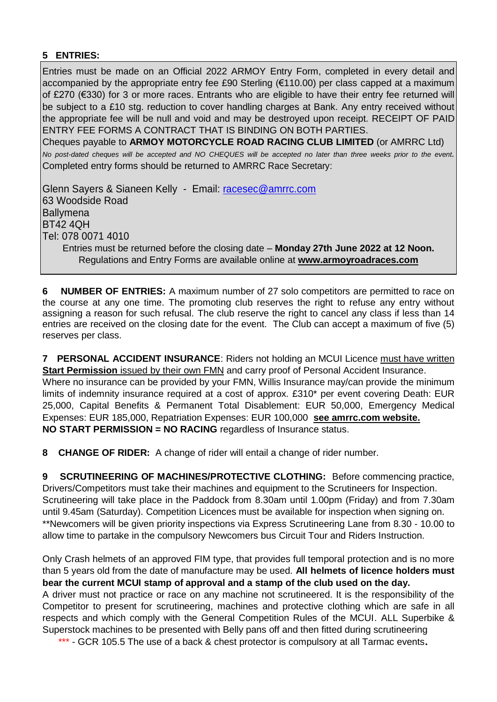#### **5 ENTRIES:**

Entries must be made on an Official 2022 ARMOY Entry Form, completed in every detail and accompanied by the appropriate entry fee £90 Sterling (€110.00) per class capped at a maximum of £270 (€330) for 3 or more races. Entrants who are eligible to have their entry fee returned will be subject to a £10 stg. reduction to cover handling charges at Bank. Any entry received without the appropriate fee will be null and void and may be destroyed upon receipt. RECEIPT OF PAID ENTRY FEE FORMS A CONTRACT THAT IS BINDING ON BOTH PARTIES. Cheques payable to **ARMOY MOTORCYCLE ROAD RACING CLUB LIMITED** (or AMRRC Ltd)

*No post-dated cheques will be accepted and NO CHEQUES will be accepted no later than three weeks prior to the event.*  Completed entry forms should be returned to AMRRC Race Secretary:

Glenn Sayers & Sianeen Kelly - Email: [racesec@amrrc.com](mailto:racesec@amrrc.com) 63 Woodside Road **Ballymena** BT42 4QH Tel: 078 0071 4010 Entries must be returned before the closing date – **Monday 27th June 2022 at 12 Noon.**

Regulations and Entry Forms are available online at **[www.armoyroadraces.com](http://www.armoyroadraces.com/)**

**6 NUMBER OF ENTRIES:** A maximum number of 27 solo competitors are permitted to race on the course at any one time. The promoting club reserves the right to refuse any entry without assigning a reason for such refusal. The club reserve the right to cancel any class if less than 14 entries are received on the closing date for the event. The Club can accept a maximum of five (5) reserves per class.

**7 PERSONAL ACCIDENT INSURANCE**: Riders not holding an MCUI Licence must have written **Start Permission** issued by their own FMN and carry proof of Personal Accident Insurance. Where no insurance can be provided by your FMN, Willis Insurance may/can provide the minimum limits of indemnity insurance required at a cost of approx. £310\* per event covering Death: EUR 25,000, Capital Benefits & Permanent Total Disablement: EUR 50,000, Emergency Medical Expenses: EUR 185,000, Repatriation Expenses: EUR 100,000 **see amrrc.com website. NO START PERMISSION = NO RACING** regardless of Insurance status.

**8 CHANGE OF RIDER:** A change of rider will entail a change of rider number.

**9 SCRUTINEERING OF MACHINES/PROTECTIVE CLOTHING:** Before commencing practice, Drivers/Competitors must take their machines and equipment to the Scrutineers for Inspection. Scrutineering will take place in the Paddock from 8.30am until 1.00pm (Friday) and from 7.30am until 9.45am (Saturday). Competition Licences must be available for inspection when signing on. \*\*Newcomers will be given priority inspections via Express Scrutineering Lane from 8.30 - 10.00 to allow time to partake in the compulsory Newcomers bus Circuit Tour and Riders Instruction.

Only Crash helmets of an approved FIM type, that provides full temporal protection and is no more than 5 years old from the date of manufacture may be used. **All helmets of licence holders must bear the current MCUI stamp of approval and a stamp of the club used on the day.**  A driver must not practice or race on any machine not scrutineered. It is the responsibility of the Competitor to present for scrutineering, machines and protective clothing which are safe in all respects and which comply with the General Competition Rules of the MCUI. ALL Superbike & Superstock machines to be presented with Belly pans off and then fitted during scrutineering

\*\*\* - GCR 105.5 The use of a back & chest protector is compulsory at all Tarmac events.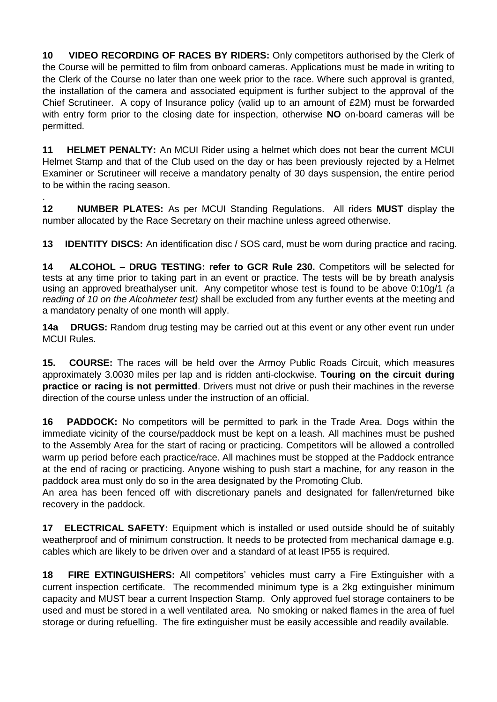**10 VIDEO RECORDING OF RACES BY RIDERS:** Only competitors authorised by the Clerk of the Course will be permitted to film from onboard cameras. Applications must be made in writing to the Clerk of the Course no later than one week prior to the race. Where such approval is granted, the installation of the camera and associated equipment is further subject to the approval of the Chief Scrutineer. A copy of Insurance policy (valid up to an amount of £2M) must be forwarded with entry form prior to the closing date for inspection, otherwise **NO** on-board cameras will be permitted.

**11 HELMET PENALTY:** An MCUI Rider using a helmet which does not bear the current MCUI Helmet Stamp and that of the Club used on the day or has been previously rejected by a Helmet Examiner or Scrutineer will receive a mandatory penalty of 30 days suspension, the entire period to be within the racing season.

. **12 NUMBER PLATES:** As per MCUI Standing Regulations. All riders **MUST** display the number allocated by the Race Secretary on their machine unless agreed otherwise.

**13 IDENTITY DISCS:** An identification disc / SOS card, must be worn during practice and racing.

**14 ALCOHOL – DRUG TESTING: refer to GCR Rule 230.** Competitors will be selected for tests at any time prior to taking part in an event or practice. The tests will be by breath analysis using an approved breathalyser unit. Any competitor whose test is found to be above 0:10g/1 *(a reading of 10 on the Alcohmeter test)* shall be excluded from any further events at the meeting and a mandatory penalty of one month will apply.

**14a DRUGS:** Random drug testing may be carried out at this event or any other event run under MCUI Rules.

**15. COURSE:** The races will be held over the Armoy Public Roads Circuit, which measures approximately 3.0030 miles per lap and is ridden anti-clockwise. **Touring on the circuit during practice or racing is not permitted**. Drivers must not drive or push their machines in the reverse direction of the course unless under the instruction of an official.

**16 PADDOCK:** No competitors will be permitted to park in the Trade Area. Dogs within the immediate vicinity of the course/paddock must be kept on a leash. All machines must be pushed to the Assembly Area for the start of racing or practicing. Competitors will be allowed a controlled warm up period before each practice/race. All machines must be stopped at the Paddock entrance at the end of racing or practicing. Anyone wishing to push start a machine, for any reason in the paddock area must only do so in the area designated by the Promoting Club.

An area has been fenced off with discretionary panels and designated for fallen/returned bike recovery in the paddock.

**17 ELECTRICAL SAFETY:** Equipment which is installed or used outside should be of suitably weatherproof and of minimum construction. It needs to be protected from mechanical damage e.g. cables which are likely to be driven over and a standard of at least IP55 is required.

**18 FIRE EXTINGUISHERS:** All competitors' vehicles must carry a Fire Extinguisher with a current inspection certificate. The recommended minimum type is a 2kg extinguisher minimum capacity and MUST bear a current Inspection Stamp. Only approved fuel storage containers to be used and must be stored in a well ventilated area. No smoking or naked flames in the area of fuel storage or during refuelling. The fire extinguisher must be easily accessible and readily available.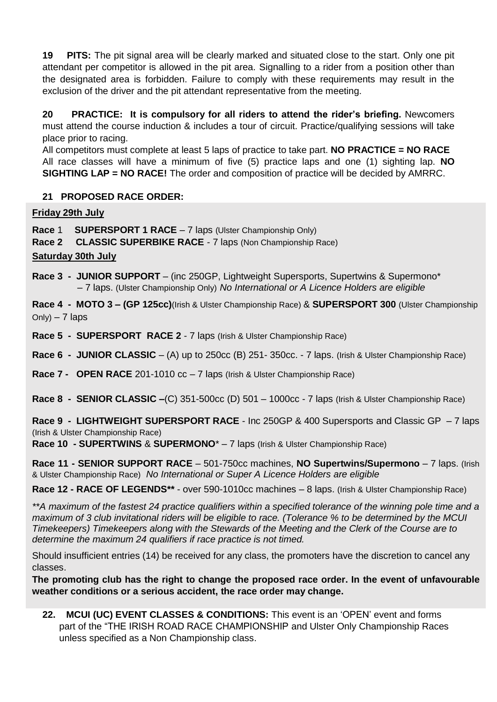**19 PITS:** The pit signal area will be clearly marked and situated close to the start. Only one pit attendant per competitor is allowed in the pit area. Signalling to a rider from a position other than the designated area is forbidden. Failure to comply with these requirements may result in the exclusion of the driver and the pit attendant representative from the meeting.

**20 PRACTICE: It is compulsory for all riders to attend the rider's briefing.** Newcomers must attend the course induction & includes a tour of circuit. Practice/qualifying sessions will take place prior to racing.

All competitors must complete at least 5 laps of practice to take part. **NO PRACTICE = NO RACE** All race classes will have a minimum of five (5) practice laps and one (1) sighting lap. **NO SIGHTING LAP = NO RACE!** The order and composition of practice will be decided by AMRRC.

#### **21 PROPOSED RACE ORDER:**

#### **Friday 29th July**

**Race** 1 **SUPERSPORT 1 RACE** – 7 laps (Ulster Championship Only)

**Race 2 CLASSIC SUPERBIKE RACE** - 7 laps (Non Championship Race)

#### **Saturday 30th July**

- **Race 3 - JUNIOR SUPPORT** (inc 250GP, Lightweight Supersports, Supertwins & Supermono\* – 7 laps. (Ulster Championship Only) *No International or A Licence Holders are eligible*
- **Race 4 MOTO 3 – (GP 125cc)**(Irish & Ulster Championship Race) & **SUPERSPORT 300** (Ulster Championship  $On|v| - 7$  laps
- **Race 5 SUPERSPORT RACE 2** 7 laps (Irish & Ulster Championship Race)
- **Race 6 - JUNIOR CLASSIC** (A) up to 250cc (B) 251- 350cc. 7 laps. (Irish & Ulster Championship Race)
- **Race 7 OPEN RACE** 201-1010 cc 7 laps (Irish & Ulster Championship Race)
- **Race 8 - SENIOR CLASSIC –**(C) 351-500cc (D) 501 1000cc 7 laps (Irish & Ulster Championship Race)

**Race 9 - LIGHTWEIGHT SUPERSPORT RACE** - Inc 250GP & 400 Supersports and Classic GP – 7 laps (Irish & Ulster Championship Race)

**Race 10 - SUPERTWINS** & **SUPERMONO**\* – 7 laps (Irish & Ulster Championship Race)

**Race 11 - SENIOR SUPPORT RACE** – 501-750cc machines, **NO Supertwins/Supermono** – 7 laps. (Irish & Ulster Championship Race) *No International or Super A Licence Holders are eligible*

**Race 12 - RACE OF LEGENDS\*\*** - over 590-1010cc machines – 8 laps. (Irish & Ulster Championship Race)

*\*\*A maximum of the fastest 24 practice qualifiers within a specified tolerance of the winning pole time and a maximum of 3 club invitational riders will be eligible to race. (Tolerance % to be determined by the MCUI Timekeepers) Timekeepers along with the Stewards of the Meeting and the Clerk of the Course are to determine the maximum 24 qualifiers if race practice is not timed.*

Should insufficient entries (14) be received for any class, the promoters have the discretion to cancel any classes.

**The promoting club has the right to change the proposed race order. In the event of unfavourable weather conditions or a serious accident, the race order may change.**

**22. MCUI (UC) EVENT CLASSES & CONDITIONS:** This event is an 'OPEN' event and forms part of the "THE IRISH ROAD RACE CHAMPIONSHIP and Ulster Only Championship Races unless specified as a Non Championship class.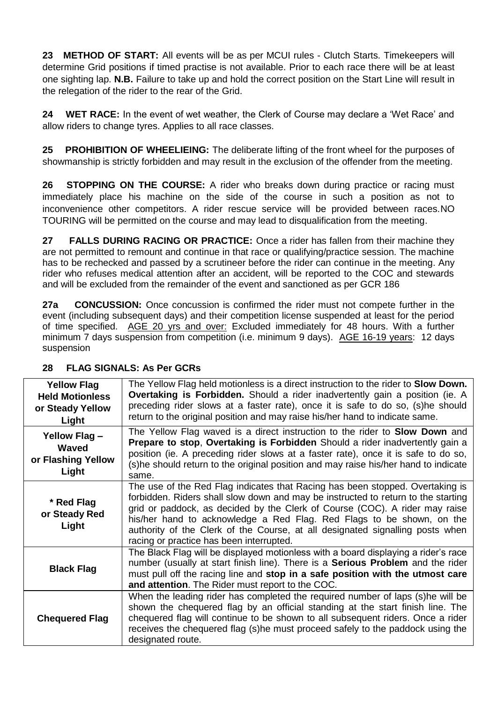23 **METHOD OF START:** All events will be as per MCUI rules - Clutch Starts. Timekeepers will determine Grid positions if timed practise is not available. Prior to each race there will be at least one sighting lap. **N.B.** Failure to take up and hold the correct position on the Start Line will result in the relegation of the rider to the rear of the Grid.

**24 WET RACE:** In the event of wet weather, the Clerk of Course may declare a 'Wet Race' and allow riders to change tyres. Applies to all race classes.

**PROHIBITION OF WHEELIEING:** The deliberate lifting of the front wheel for the purposes of showmanship is strictly forbidden and may result in the exclusion of the offender from the meeting.

**26 STOPPING ON THE COURSE:** A rider who breaks down during practice or racing must immediately place his machine on the side of the course in such a position as not to inconvenience other competitors. A rider rescue service will be provided between races.NO TOURING will be permitted on the course and may lead to disqualification from the meeting.

**27 FALLS DURING RACING OR PRACTICE:** Once a rider has fallen from their machine they are not permitted to remount and continue in that race or qualifying/practice session. The machine has to be rechecked and passed by a scrutineer before the rider can continue in the meeting. Any rider who refuses medical attention after an accident, will be reported to the COC and stewards and will be excluded from the remainder of the event and sanctioned as per GCR 186

**27a CONCUSSION:** Once concussion is confirmed the rider must not compete further in the event (including subsequent days) and their competition license suspended at least for the period of time specified. AGE 20 yrs and over: Excluded immediately for 48 hours. With a further minimum 7 days suspension from competition (i.e. minimum 9 days). AGE 16-19 years: 12 days suspension

| <b>Yellow Flag</b><br><b>Held Motionless</b><br>or Steady Yellow<br>Light | The Yellow Flag held motionless is a direct instruction to the rider to <b>Slow Down.</b><br><b>Overtaking is Forbidden.</b> Should a rider inadvertently gain a position (ie. A<br>preceding rider slows at a faster rate), once it is safe to do so, (s)he should<br>return to the original position and may raise his/her hand to indicate same.                                                                                                     |
|---------------------------------------------------------------------------|---------------------------------------------------------------------------------------------------------------------------------------------------------------------------------------------------------------------------------------------------------------------------------------------------------------------------------------------------------------------------------------------------------------------------------------------------------|
| Yellow Flag-<br>Waved<br>or Flashing Yellow<br>Light                      | The Yellow Flag waved is a direct instruction to the rider to <b>Slow Down</b> and<br>Prepare to stop, Overtaking is Forbidden Should a rider inadvertently gain a<br>position (ie. A preceding rider slows at a faster rate), once it is safe to do so,<br>(s)he should return to the original position and may raise his/her hand to indicate<br>same.                                                                                                |
| * Red Flag<br>or Steady Red<br>Light                                      | The use of the Red Flag indicates that Racing has been stopped. Overtaking is<br>forbidden. Riders shall slow down and may be instructed to return to the starting<br>grid or paddock, as decided by the Clerk of Course (COC). A rider may raise<br>his/her hand to acknowledge a Red Flag. Red Flags to be shown, on the<br>authority of the Clerk of the Course, at all designated signalling posts when<br>racing or practice has been interrupted. |
| <b>Black Flag</b>                                                         | The Black Flag will be displayed motionless with a board displaying a rider's race<br>number (usually at start finish line). There is a Serious Problem and the rider<br>must pull off the racing line and stop in a safe position with the utmost care<br>and attention. The Rider must report to the COC.                                                                                                                                             |
| <b>Chequered Flag</b>                                                     | When the leading rider has completed the required number of laps (s) he will be<br>shown the chequered flag by an official standing at the start finish line. The<br>chequered flag will continue to be shown to all subsequent riders. Once a rider<br>receives the chequered flag (s) he must proceed safely to the paddock using the<br>designated route.                                                                                            |

#### **28 FLAG SIGNALS: As Per GCRs**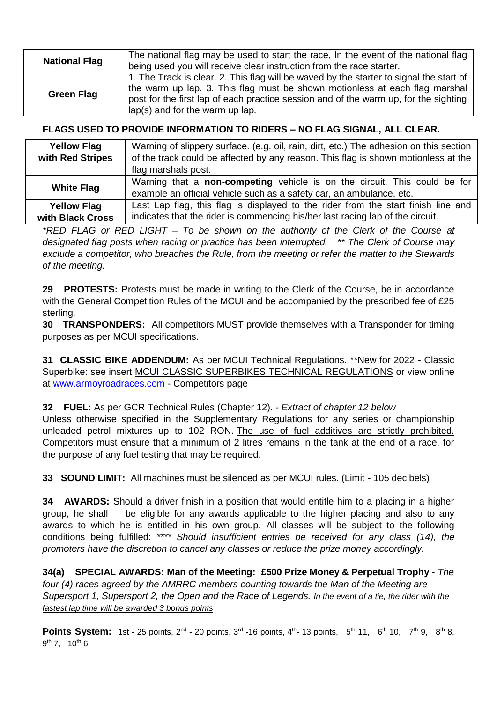| <b>National Flag</b> | The national flag may be used to start the race, In the event of the national flag                                                                                                                                                                                                                |
|----------------------|---------------------------------------------------------------------------------------------------------------------------------------------------------------------------------------------------------------------------------------------------------------------------------------------------|
|                      | being used you will receive clear instruction from the race starter.                                                                                                                                                                                                                              |
| Green Flag           | 1. The Track is clear. 2. This flag will be waved by the starter to signal the start of<br>the warm up lap. 3. This flag must be shown motionless at each flag marshal<br>post for the first lap of each practice session and of the warm up, for the sighting<br>lap(s) and for the warm up lap. |

#### **FLAGS USED TO PROVIDE INFORMATION TO RIDERS – NO FLAG SIGNAL, ALL CLEAR.**

| <b>Yellow Flag</b> | Warning of slippery surface. (e.g. oil, rain, dirt, etc.) The adhesion on this section |  |  |  |  |
|--------------------|----------------------------------------------------------------------------------------|--|--|--|--|
| with Red Stripes   | of the track could be affected by any reason. This flag is shown motionless at the     |  |  |  |  |
|                    | flag marshals post.                                                                    |  |  |  |  |
| <b>White Flag</b>  | Warning that a <b>non-competing</b> vehicle is on the circuit. This could be for       |  |  |  |  |
|                    | example an official vehicle such as a safety car, an ambulance, etc.                   |  |  |  |  |
| <b>Yellow Flag</b> | Last Lap flag, this flag is displayed to the rider from the start finish line and      |  |  |  |  |
| with Black Cross   | indicates that the rider is commencing his/her last racing lap of the circuit.         |  |  |  |  |

*\*RED FLAG or RED LIGHT – To be shown on the authority of the Clerk of the Course at designated flag posts when racing or practice has been interrupted. \*\* The Clerk of Course may exclude a competitor, who breaches the Rule, from the meeting or refer the matter to the Stewards of the meeting.*

**29 PROTESTS:** Protests must be made in writing to the Clerk of the Course, be in accordance with the General Competition Rules of the MCUI and be accompanied by the prescribed fee of £25 sterling.

**30 TRANSPONDERS:** All competitors MUST provide themselves with a Transponder for timing purposes as per MCUI specifications.

**31 CLASSIC BIKE ADDENDUM:** As per MCUI Technical Regulations. \*\*New for 2022 - Classic Superbike: see insert MCUI CLASSIC SUPERBIKES TECHNICAL REGULATIONS or view online at [www.armoyroadraces.com](http://www.armoyroadraces.com/) - Competitors page

**32 FUEL:** As per GCR Technical Rules (Chapter 12). - *Extract of chapter 12 below*

Unless otherwise specified in the Supplementary Regulations for any series or championship unleaded petrol mixtures up to 102 RON. The use of fuel additives are strictly prohibited. Competitors must ensure that a minimum of 2 litres remains in the tank at the end of a race, for the purpose of any fuel testing that may be required.

**33 SOUND LIMIT:** All machines must be silenced as per MCUI rules. (Limit - 105 decibels)

**34 AWARDS:** Should a driver finish in a position that would entitle him to a placing in a higher group, he shall be eligible for any awards applicable to the higher placing and also to any awards to which he is entitled in his own group. All classes will be subject to the following conditions being fulfilled: *\*\*\*\* Should insufficient entries be received for any class (14), the promoters have the discretion to cancel any classes or reduce the prize money accordingly.*

**34(a) SPECIAL AWARDS: Man of the Meeting: £500 Prize Money & Perpetual Trophy -** *The four (4) races agreed by the AMRRC members counting towards the Man of the Meeting are – Supersport 1, Supersport 2, the Open and the Race of Legends. In the event of a tie, the rider with the fastest lap time will be awarded 3 bonus points*

**Points System:** 1st - 25 points,  $2^{nd}$  - 20 points,  $3^{rd}$  -16 points,  $4^{th}$  - 13 points,  $5^{th}$  11,  $6^{th}$  10,  $7^{th}$  9,  $8^{th}$  8, 9<sup>th</sup> 7, 10<sup>th</sup> 6,